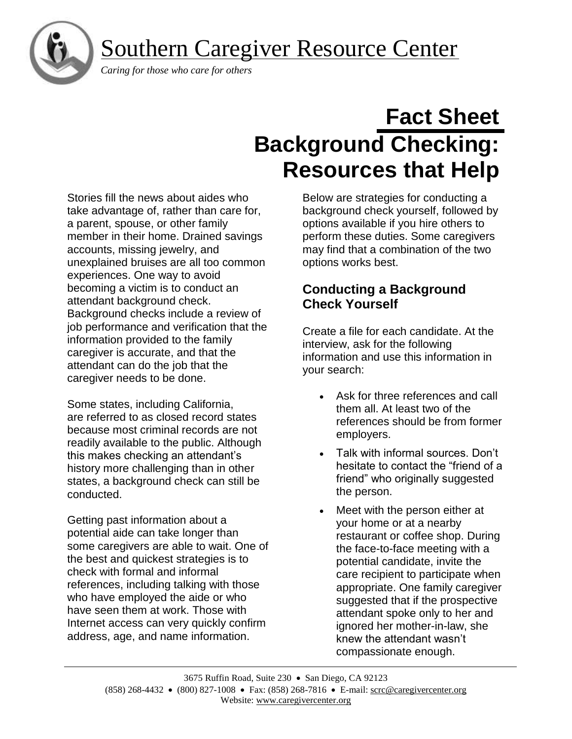Southern Caregiver Resource Center



 *Caring for those who care for others*

# **Fact Sheet Background Checking: Resources that Help**

Stories fill the news about aides who take advantage of, rather than care for, a parent, spouse, or other family member in their home. Drained savings accounts, missing jewelry, and unexplained bruises are all too common experiences. One way to avoid becoming a victim is to conduct an attendant background check. Background checks include a review of job performance and verification that the information provided to the family caregiver is accurate, and that the attendant can do the job that the caregiver needs to be done.

Some states, including California, are referred to as closed record states because most criminal records are not readily available to the public. Although this makes checking an attendant's history more challenging than in other states, a background check can still be conducted.

Getting past information about a potential aide can take longer than some caregivers are able to wait. One of the best and quickest strategies is to check with formal and informal references, including talking with those who have employed the aide or who have seen them at work. Those with Internet access can very quickly confirm address, age, and name information.

Below are strategies for conducting a background check yourself, followed by options available if you hire others to perform these duties. Some caregivers may find that a combination of the two options works best.

# **Conducting a Background Check Yourself**

Create a file for each candidate. At the interview, ask for the following information and use this information in your search:

- Ask for three references and call them all. At least two of the references should be from former employers.
- Talk with informal sources. Don't hesitate to contact the "friend of a friend" who originally suggested the person.
- Meet with the person either at your home or at a nearby restaurant or coffee shop. During the face-to-face meeting with a potential candidate, invite the care recipient to participate when appropriate. One family caregiver suggested that if the prospective attendant spoke only to her and ignored her mother-in-law, she knew the attendant wasn't compassionate enough.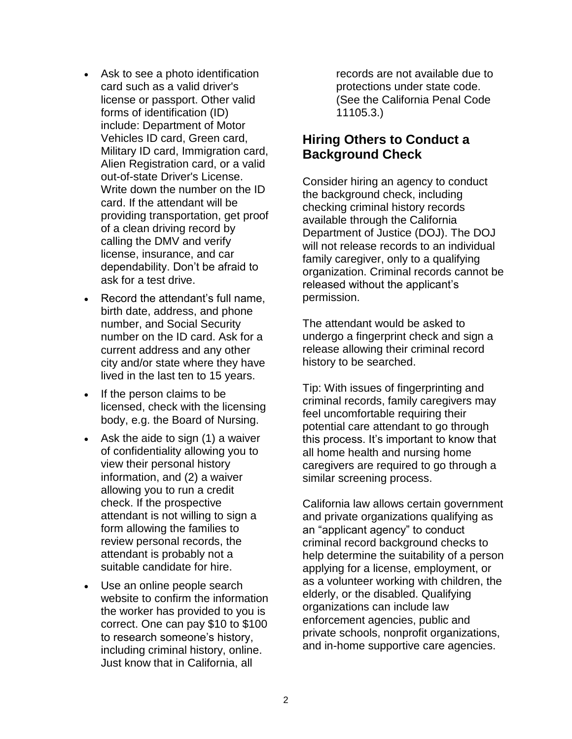- Ask to see a photo identification card such as a valid driver's license or passport. Other valid forms of identification (ID) include: Department of Motor Vehicles ID card, Green card, Military ID card, Immigration card, Alien Registration card, or a valid out-of-state Driver's License. Write down the number on the ID card. If the attendant will be providing transportation, get proof of a clean driving record by calling the DMV and verify license, insurance, and car dependability. Don't be afraid to ask for a test drive.
- Record the attendant's full name, birth date, address, and phone number, and Social Security number on the ID card. Ask for a current address and any other city and/or state where they have lived in the last ten to 15 years.
- If the person claims to be licensed, check with the licensing body, e.g. the Board of Nursing.
- Ask the aide to sign (1) a waiver of confidentiality allowing you to view their personal history information, and (2) a waiver allowing you to run a credit check. If the prospective attendant is not willing to sign a form allowing the families to review personal records, the attendant is probably not a suitable candidate for hire.
- Use an online people search website to confirm the information the worker has provided to you is correct. One can pay \$10 to \$100 to research someone's history, including criminal history, online. Just know that in California, all

records are not available due to protections under state code. (See the California Penal Code 11105.3.)

# **Hiring Others to Conduct a Background Check**

Consider hiring an agency to conduct the background check, including checking criminal history records available through the California Department of Justice (DOJ). The DOJ will not release records to an individual family caregiver, only to a qualifying organization. Criminal records cannot be released without the applicant's permission.

The attendant would be asked to undergo a fingerprint check and sign a release allowing their criminal record history to be searched.

Tip: With issues of fingerprinting and criminal records, family caregivers may feel uncomfortable requiring their potential care attendant to go through this process. It's important to know that all home health and nursing home caregivers are required to go through a similar screening process.

California law allows certain government and private organizations qualifying as an "applicant agency" to conduct criminal record background checks to help determine the suitability of a person applying for a license, employment, or as a volunteer working with children, the elderly, or the disabled. Qualifying organizations can include law enforcement agencies, public and private schools, nonprofit organizations, and in-home supportive care agencies.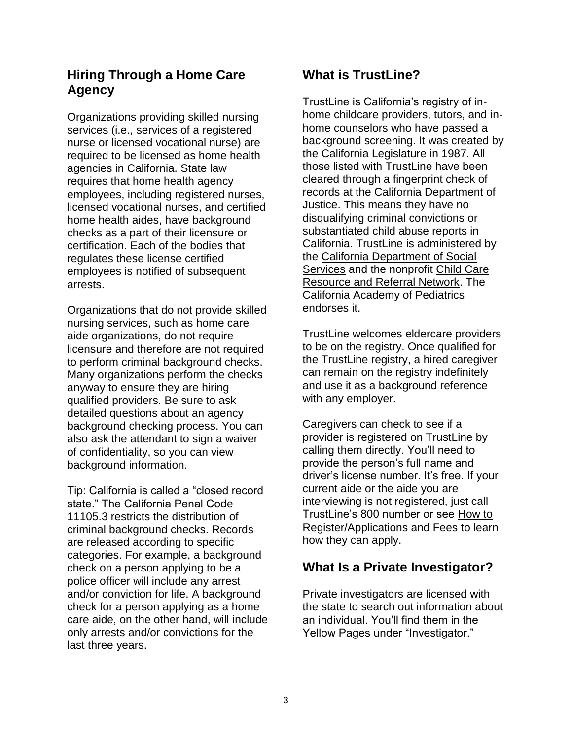# **Hiring Through a Home Care Agency**

Organizations providing skilled nursing services (i.e., services of a registered nurse or licensed vocational nurse) are required to be licensed as home health agencies in California. State law requires that home health agency employees, including registered nurses, licensed vocational nurses, and certified home health aides, have background checks as a part of their licensure or certification. Each of the bodies that regulates these license certified employees is notified of subsequent arrests.

Organizations that do not provide skilled nursing services, such as home care aide organizations, do not require licensure and therefore are not required to perform criminal background checks. Many organizations perform the checks anyway to ensure they are hiring qualified providers. Be sure to ask detailed questions about an agency background checking process. You can also ask the attendant to sign a waiver of confidentiality, so you can view background information.

Tip: California is called a "closed record state." The California Penal Code 11105.3 restricts the distribution of criminal background checks. Records are released according to specific categories. For example, a background check on a person applying to be a police officer will include any arrest and/or conviction for life. A background check for a person applying as a home care aide, on the other hand, will include only arrests and/or convictions for the last three years.

# **What is TrustLine?**

TrustLine is California's registry of inhome childcare providers, tutors, and inhome counselors who have passed a background screening. It was created by the California Legislature in 1987. All those listed with TrustLine have been cleared through a fingerprint check of records at the California Department of Justice. This means they have no disqualifying criminal convictions or substantiated child abuse reports in California. TrustLine is administered by the [California Department of Social](http://www.cdss.ca.gov/)  [Services](http://www.cdss.ca.gov/) and the nonprofit [Child Care](http://www.rrnetwork.org/)  [Resource and Referral Network.](http://www.rrnetwork.org/) The California Academy of Pediatrics endorses it.

TrustLine welcomes eldercare providers to be on the registry. Once qualified for the TrustLine registry, a hired caregiver can remain on the registry indefinitely and use it as a background reference with any employer.

Caregivers can check to see if a provider is registered on TrustLine by calling them directly. You'll need to provide the person's full name and driver's license number. It's free. If your current aide or the aide you are interviewing is not registered, just call TrustLine's 800 number or see [How to](http://www.trustline.org/)  [Register/Applications and Fees](http://www.trustline.org/) to learn how they can apply.

# **What Is a Private Investigator?**

Private investigators are licensed with the state to search out information about an individual. You'll find them in the Yellow Pages under "Investigator."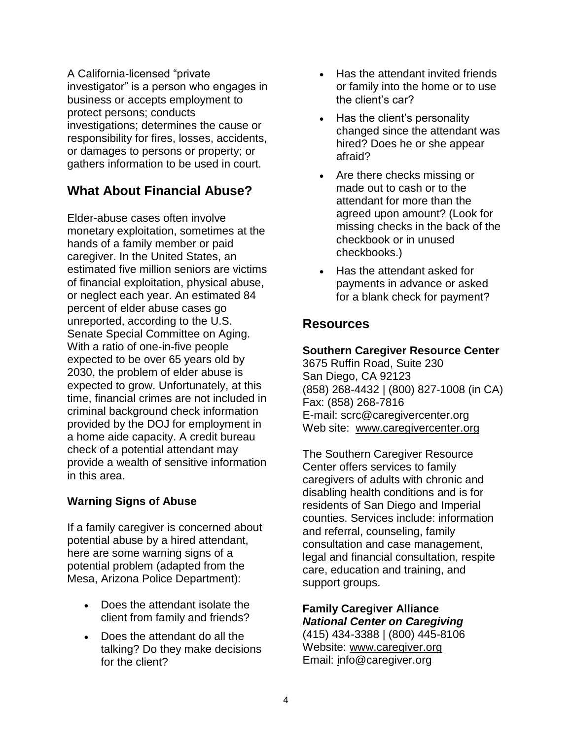A California-licensed "private investigator" is a person who engages in business or accepts employment to protect persons; conducts investigations; determines the cause or responsibility for fires, losses, accidents, or damages to persons or property; or gathers information to be used in court.

# **What About Financial Abuse?**

Elder-abuse cases often involve monetary exploitation, sometimes at the hands of a family member or paid caregiver. In the United States, an estimated five million seniors are victims of financial exploitation, physical abuse, or neglect each year. An estimated 84 percent of elder abuse cases go unreported, according to the U.S. Senate Special Committee on Aging. With a ratio of one-in-five people expected to be over 65 years old by 2030, the problem of elder abuse is expected to grow. Unfortunately, at this time, financial crimes are not included in criminal background check information provided by the DOJ for employment in a home aide capacity. A credit bureau check of a potential attendant may provide a wealth of sensitive information in this area.

### **Warning Signs of Abuse**

If a family caregiver is concerned about potential abuse by a hired attendant, here are some warning signs of a potential problem (adapted from the Mesa, Arizona Police Department):

- Does the attendant isolate the client from family and friends?
- Does the attendant do all the talking? Do they make decisions for the client?
- Has the attendant invited friends or family into the home or to use the client's car?
- Has the client's personality changed since the attendant was hired? Does he or she appear afraid?
- Are there checks missing or made out to cash or to the attendant for more than the agreed upon amount? (Look for missing checks in the back of the checkbook or in unused checkbooks.)
- Has the attendant asked for payments in advance or asked for a blank check for payment?

# **Resources**

#### **Southern Caregiver Resource Center**

3675 Ruffin Road, Suite 230 San Diego, CA 92123 (858) 268-4432 | (800) 827-1008 (in CA) Fax: (858) 268-7816 E-mail: [scrc@caregivercenter.org](mailto:scrc@caregivercenter.org) Web site: [www.caregivercenter.org](http://www.caregivercenter.org/)

The Southern Caregiver Resource Center offers services to family caregivers of adults with chronic and disabling health conditions and is for residents of San Diego and Imperial counties. Services include: information and referral, counseling, family consultation and case management, legal and financial consultation, respite care, education and training, and support groups.

## **Family Caregiver Alliance** *National Center on Caregiving*

(415) 434-3388 | (800) 445-8106 Website: [www.caregiver.org](http://www.caregiver.org/) Email: [info@caregiver.org](mailto:info@caregiver.org)